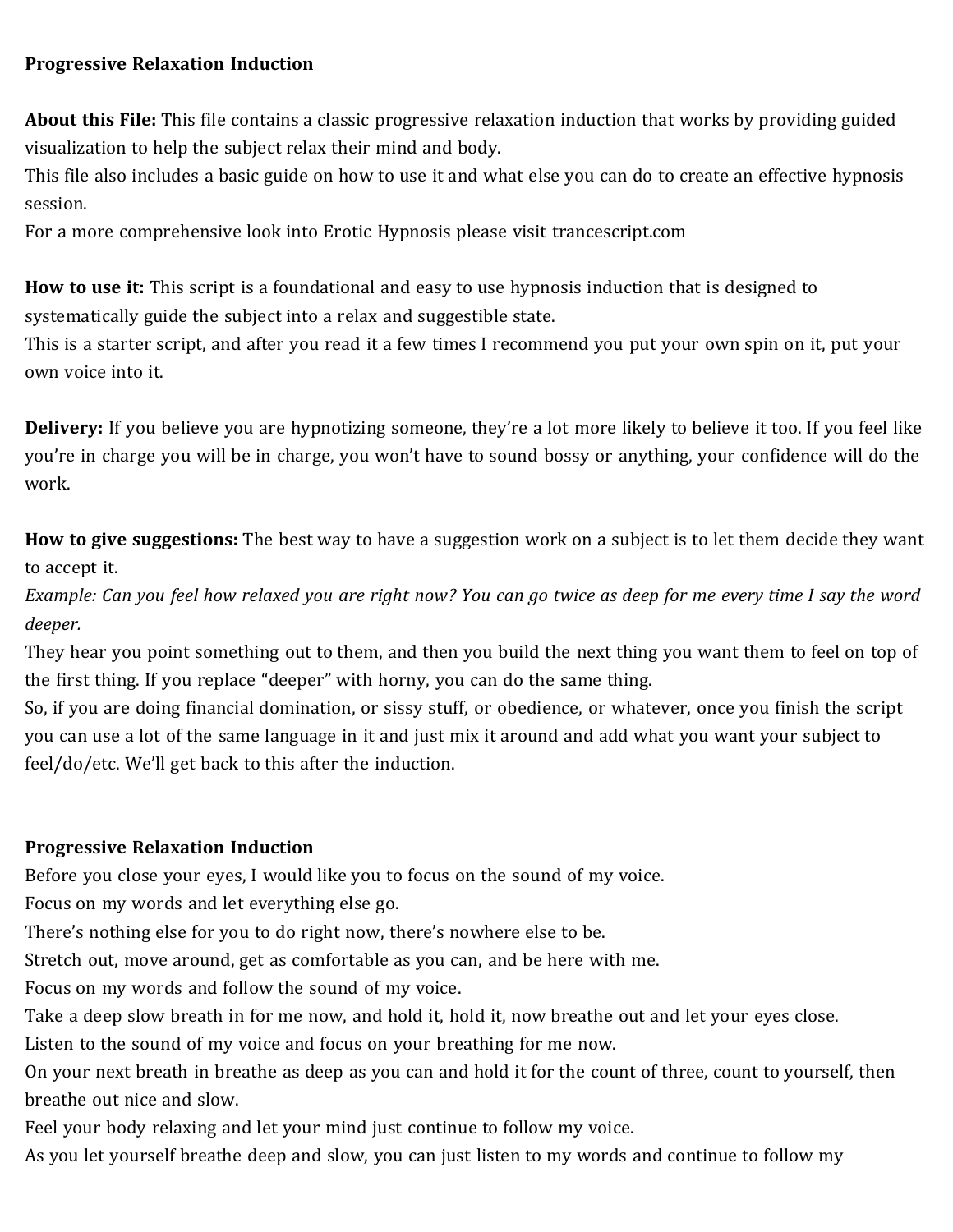## **Progressive Relaxation Induction**

**About this File:** This file contains a classic progressive relaxation induction that works by providing guided visualization to help the subject relax their mind and body.

This file also includes a basic guide on how to use it and what else you can do to create an effective hypnosis session.

For a more comprehensive look into Erotic Hypnosis please visit trancescript.com

**How to use it:** This script is a foundational and easy to use hypnosis induction that is designed to systematically guide the subject into a relax and suggestible state.

This is a starter script, and after you read it a few times I recommend you put your own spin on it, put your own voice into it.

**Delivery:** If you believe you are hypnotizing someone, they're a lot more likely to believe it too. If you feel like you're in charge you will be in charge, you won't have to sound bossy or anything, your confidence will do the work.

**How to give suggestions:** The best way to have a suggestion work on a subject is to let them decide they want to accept it.

*Example: Can you feel how relaxed you are right now? You can go twice as deep for me every time I say the word deeper.*

They hear you point something out to them, and then you build the next thing you want them to feel on top of the first thing. If you replace "deeper" with horny, you can do the same thing.

So, if you are doing financial domination, or sissy stuff, or obedience, or whatever, once you finish the script you can use a lot of the same language in it and just mix it around and add what you want your subject to feel/do/etc. We'll get back to this after the induction.

## **Progressive Relaxation Induction**

Before you close your eyes, I would like you to focus on the sound of my voice.

Focus on my words and let everything else go.

There's nothing else for you to do right now, there's nowhere else to be.

Stretch out, move around, get as comfortable as you can, and be here with me.

Focus on my words and follow the sound of my voice.

Take a deep slow breath in for me now, and hold it, hold it, now breathe out and let your eyes close.

Listen to the sound of my voice and focus on your breathing for me now.

On your next breath in breathe as deep as you can and hold it for the count of three, count to yourself, then breathe out nice and slow.

Feel your body relaxing and let your mind just continue to follow my voice.

As you let yourself breathe deep and slow, you can just listen to my words and continue to follow my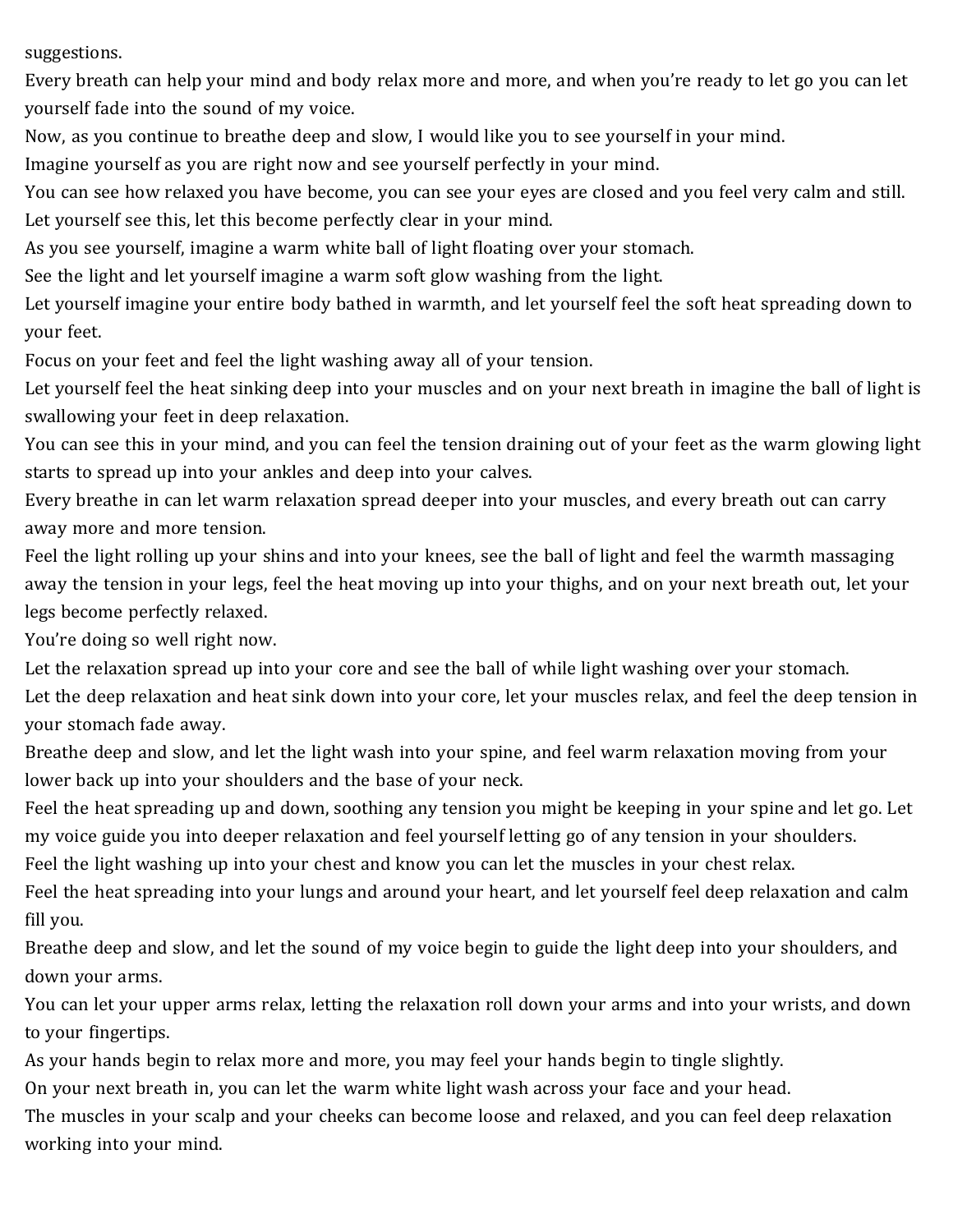suggestions.

Every breath can help your mind and body relax more and more, and when you're ready to let go you can let yourself fade into the sound of my voice.

Now, as you continue to breathe deep and slow, I would like you to see yourself in your mind.

Imagine yourself as you are right now and see yourself perfectly in your mind.

You can see how relaxed you have become, you can see your eyes are closed and you feel very calm and still. Let yourself see this, let this become perfectly clear in your mind.

As you see yourself, imagine a warm white ball of light floating over your stomach.

See the light and let yourself imagine a warm soft glow washing from the light.

Let yourself imagine your entire body bathed in warmth, and let yourself feel the soft heat spreading down to your feet.

Focus on your feet and feel the light washing away all of your tension.

Let yourself feel the heat sinking deep into your muscles and on your next breath in imagine the ball of light is swallowing your feet in deep relaxation.

You can see this in your mind, and you can feel the tension draining out of your feet as the warm glowing light starts to spread up into your ankles and deep into your calves.

Every breathe in can let warm relaxation spread deeper into your muscles, and every breath out can carry away more and more tension.

Feel the light rolling up your shins and into your knees, see the ball of light and feel the warmth massaging away the tension in your legs, feel the heat moving up into your thighs, and on your next breath out, let your legs become perfectly relaxed.

You're doing so well right now.

Let the relaxation spread up into your core and see the ball of while light washing over your stomach.

Let the deep relaxation and heat sink down into your core, let your muscles relax, and feel the deep tension in your stomach fade away.

Breathe deep and slow, and let the light wash into your spine, and feel warm relaxation moving from your lower back up into your shoulders and the base of your neck.

Feel the heat spreading up and down, soothing any tension you might be keeping in your spine and let go. Let my voice guide you into deeper relaxation and feel yourself letting go of any tension in your shoulders.

Feel the light washing up into your chest and know you can let the muscles in your chest relax.

Feel the heat spreading into your lungs and around your heart, and let yourself feel deep relaxation and calm fill you.

Breathe deep and slow, and let the sound of my voice begin to guide the light deep into your shoulders, and down your arms.

You can let your upper arms relax, letting the relaxation roll down your arms and into your wrists, and down to your fingertips.

As your hands begin to relax more and more, you may feel your hands begin to tingle slightly.

On your next breath in, you can let the warm white light wash across your face and your head.

The muscles in your scalp and your cheeks can become loose and relaxed, and you can feel deep relaxation working into your mind.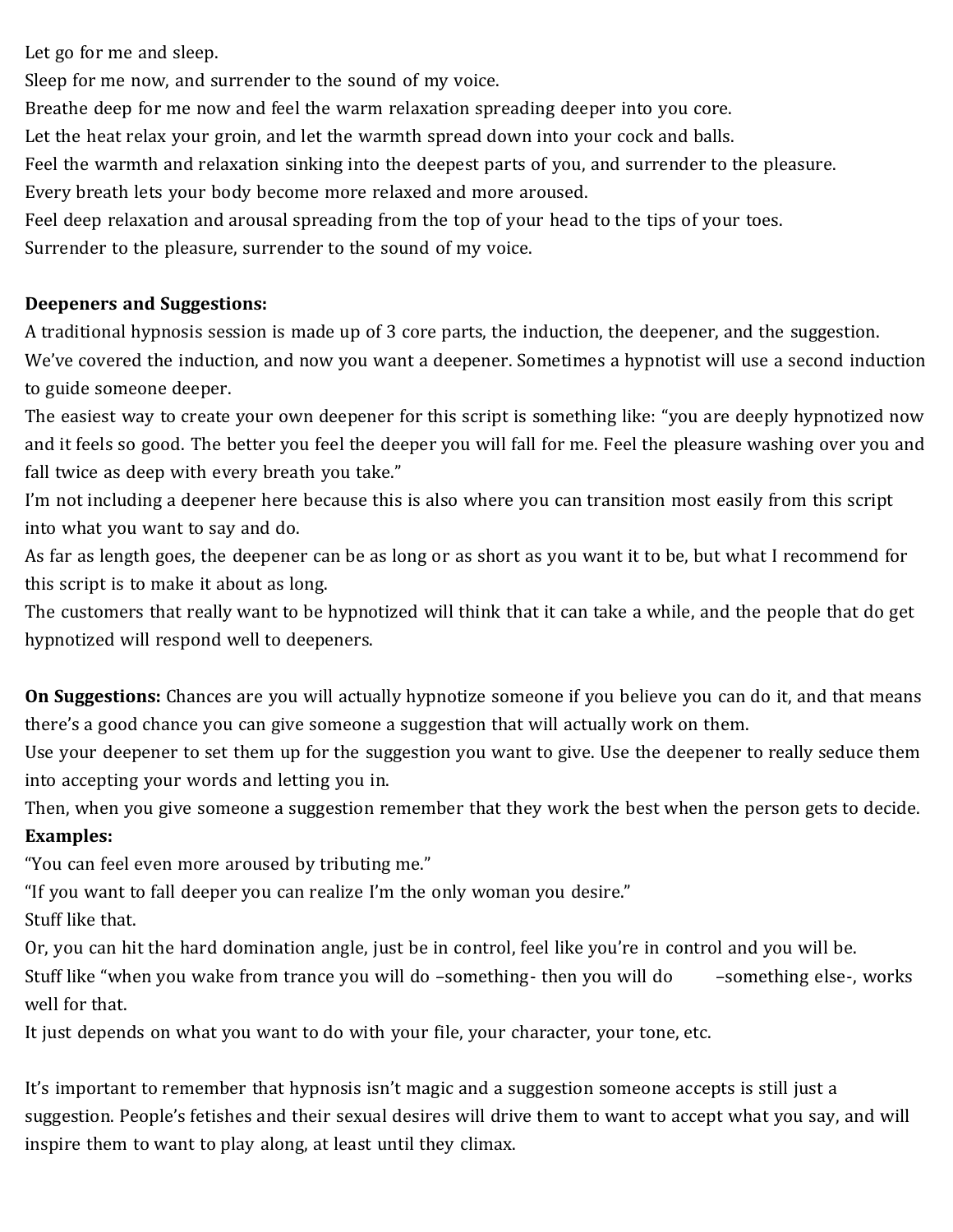Let go for me and sleep.

Sleep for me now, and surrender to the sound of my voice.

Breathe deep for me now and feel the warm relaxation spreading deeper into you core.

Let the heat relax your groin, and let the warmth spread down into your cock and balls.

Feel the warmth and relaxation sinking into the deepest parts of you, and surrender to the pleasure.

Every breath lets your body become more relaxed and more aroused.

Feel deep relaxation and arousal spreading from the top of your head to the tips of your toes.

Surrender to the pleasure, surrender to the sound of my voice.

## **Deepeners and Suggestions:**

A traditional hypnosis session is made up of 3 core parts, the induction, the deepener, and the suggestion. We've covered the induction, and now you want a deepener. Sometimes a hypnotist will use a second induction to guide someone deeper.

The easiest way to create your own deepener for this script is something like: "you are deeply hypnotized now and it feels so good. The better you feel the deeper you will fall for me. Feel the pleasure washing over you and fall twice as deep with every breath you take."

I'm not including a deepener here because this is also where you can transition most easily from this script into what you want to say and do.

As far as length goes, the deepener can be as long or as short as you want it to be, but what I recommend for this script is to make it about as long.

The customers that really want to be hypnotized will think that it can take a while, and the people that do get hypnotized will respond well to deepeners.

**On Suggestions:** Chances are you will actually hypnotize someone if you believe you can do it, and that means there's a good chance you can give someone a suggestion that will actually work on them.

Use your deepener to set them up for the suggestion you want to give. Use the deepener to really seduce them into accepting your words and letting you in.

Then, when you give someone a suggestion remember that they work the best when the person gets to decide. **Examples:**

"You can feel even more aroused by tributing me."

"If you want to fall deeper you can realize I'm the only woman you desire."

Stuff like that.

Or, you can hit the hard domination angle, just be in control, feel like you're in control and you will be. Stuff like "when you wake from trance you will do -something- then you will do -something else-, works well for that.

It just depends on what you want to do with your file, your character, your tone, etc.

It's important to remember that hypnosis isn't magic and a suggestion someone accepts is still just a suggestion. People's fetishes and their sexual desires will drive them to want to accept what you say, and will inspire them to want to play along, at least until they climax.